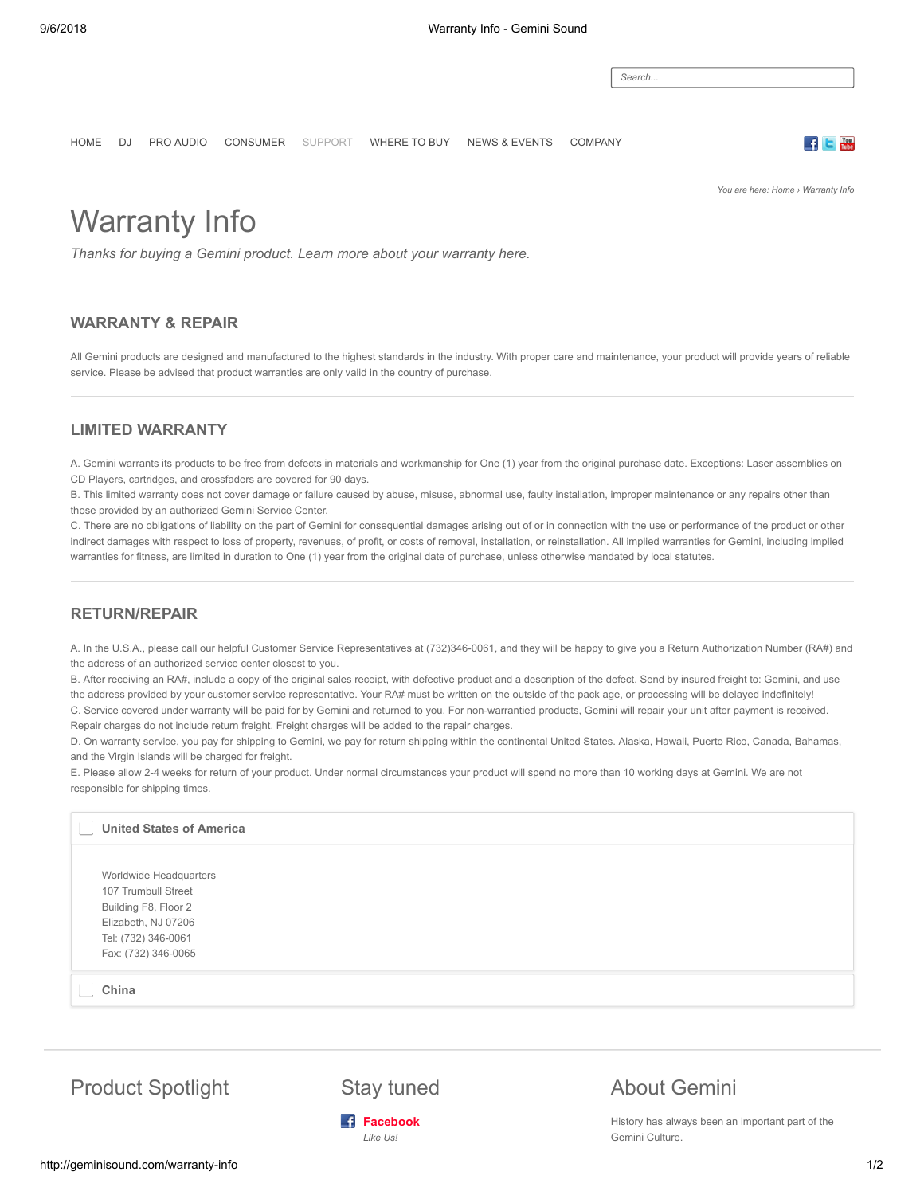*Search...*

[HOME](http://geminisound.com/) [DJ](http://geminisound.com/dj) [PRO AUDIO](http://geminisound.com/pro) [CONSUMER](http://consumer.geminisound.com/) [SUPPORT](http://geminisound.com/support) [WHERE TO BUY](http://geminisound.com/where-to-buy) [NEWS & EVENTS](http://geminisound.com/news-events) [COMPANY](http://geminisound.com/company)

*You are here: [Home](http://geminisound.com/) › Warranty Info*

**ALC** 

# Warranty Info

*Thanks for buying a Gemini product. Learn more about your warranty here.*

#### **WARRANTY & REPAIR**

All Gemini products are designed and manufactured to the highest standards in the industry. With proper care and maintenance, your product will provide years of reliable service. Please be advised that product warranties are only valid in the country of purchase.

#### **LIMITED WARRANTY**

A. Gemini warrants its products to be free from defects in materials and workmanship for One (1) year from the original purchase date. Exceptions: Laser assemblies on CD Players, cartridges, and crossfaders are covered for 90 days.

B. This limited warranty does not cover damage or failure caused by abuse, misuse, abnormal use, faulty installation, improper maintenance or any repairs other than those provided by an authorized Gemini Service Center.

C. There are no obligations of liability on the part of Gemini for consequential damages arising out of or in connection with the use or performance of the product or other indirect damages with respect to loss of property, revenues, of profit, or costs of removal, installation, or reinstallation. All implied warranties for Gemini, including implied warranties for fitness, are limited in duration to One (1) year from the original date of purchase, unless otherwise mandated by local statutes.

### **RETURN/REPAIR**

A. In the U.S.A., please call our helpful Customer Service Representatives at (732)346-0061, and they will be happy to give you a Return Authorization Number (RA#) and the address of an authorized service center closest to you.

B. After receiving an RA#, include a copy of the original sales receipt, with defective product and a description of the defect. Send by insured freight to: Gemini, and use the address provided by your customer service representative. Your RA# must be written on the outside of the pack age, or processing will be delayed indefinitely! C. Service covered under warranty will be paid for by Gemini and returned to you. For non-warrantied products, Gemini will repair your unit after payment is received. Repair charges do not include return freight. Freight charges will be added to the repair charges.

D. On warranty service, you pay for shipping to Gemini, we pay for return shipping within the continental United States. Alaska, Hawaii, Puerto Rico, Canada, Bahamas, and the Virgin Islands will be charged for freight.

E. Please allow 2-4 weeks for return of your product. Under normal circumstances your product will spend no more than 10 working days at Gemini. We are not responsible for shipping times.

## Worldwide Headquarters 107 Trumbull Street Building F8, Floor 2 Elizabeth, NJ 07206 Tel: (732) 346-0061 Fax: (732) 346-0065 **United States of America China**

Product Spotlight Stay tuned



## About Gemini

History has always been an important part of the Gemini Culture.